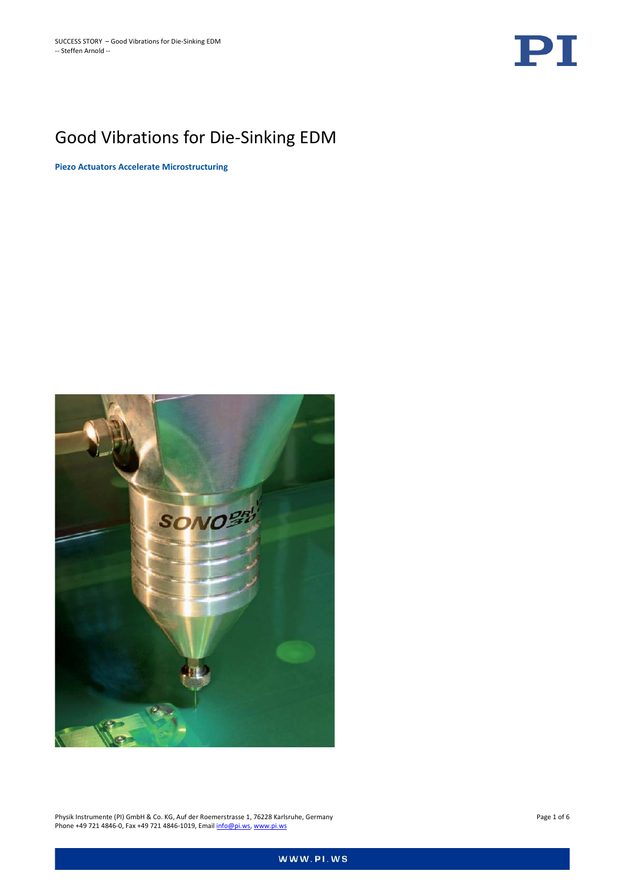

# Good Vibrations for Die-Sinking EDM

**Piezo Actuators Accelerate Microstructuring**



Physik Instrumente (PI) GmbH & Co. KG, Auf der Roemerstrasse 1, 76228 Karlsruhe, Germany Page 1 of 6 Page 1 of 6 Phone +49 721 4846-0, Fax +49 721 4846-1019, Emai[l info@pi.ws,](mailto:info@pi.ws) [www.pi.ws](http://www.pi.ws/)

WWW.PI.WS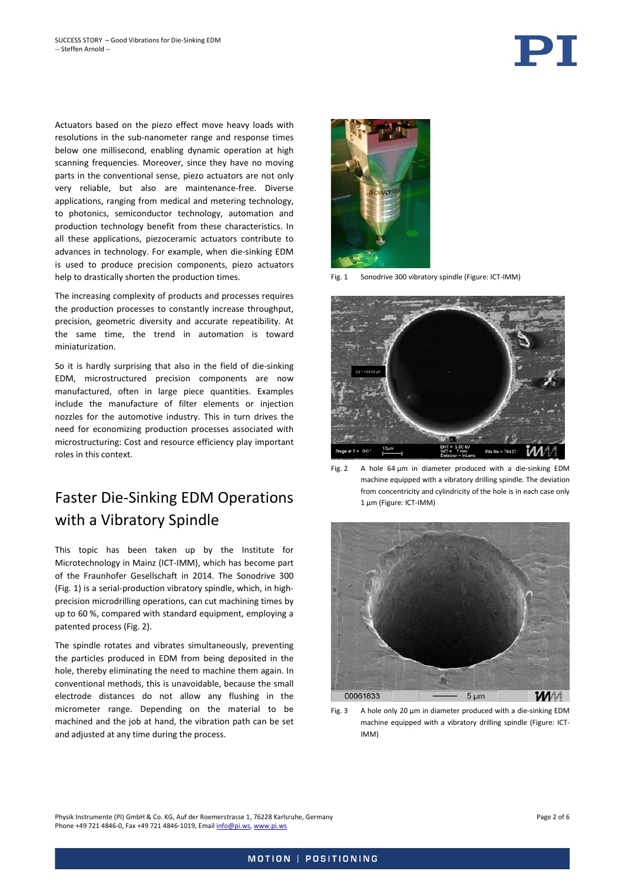Actuators based on the piezo effect move heavy loads with resolutions in the sub-nanometer range and response times below one millisecond, enabling dynamic operation at high scanning frequencies. Moreover, since they have no moving parts in the conventional sense, piezo actuators are not only very reliable, but also are maintenance-free. Diverse applications, ranging from medical and metering technology, to photonics, semiconductor technology, automation and production technology benefit from these characteristics. In all these applications, piezoceramic actuators contribute to advances in technology. For example, when die-sinking EDM is used to produce precision components, piezo actuators help to drastically shorten the production times.

The increasing complexity of products and processes requires the production processes to constantly increase throughput, precision, geometric diversity and accurate repeatibility. At the same time, the trend in automation is toward miniaturization.

So it is hardly surprising that also in the field of die-sinking EDM, microstructured precision components are now manufactured, often in large piece quantities. Examples include the manufacture of filter elements or injection nozzles for the automotive industry. This in turn drives the need for economizing production processes associated with microstructuring: Cost and resource efficiency play important roles in this context.

## Faster Die-Sinking EDM Operations with a Vibratory Spindle

This topic has been taken up by the Institute for Microtechnology in Mainz (ICT-IMM), which has become part of the Fraunhofer Gesellschaft in 2014. The Sonodrive 300 [\(Fig. 1\)](#page-1-0) is a serial-production vibratory spindle, which, in highprecision microdrilling operations, can cut machining times by up to 60 %, compared with standard equipment, employing a patented process [\(Fig. 2\)](#page-1-1).

The spindle rotates and vibrates simultaneously, preventing the particles produced in EDM from being deposited in the hole, thereby eliminating the need to machine them again. In conventional methods, this is unavoidable, because the small electrode distances do not allow any flushing in the micrometer range. Depending on the material to be machined and the job at hand, the vibration path can be set and adjusted at any time during the process.



Fig. 1 Sonodrive 300 vibratory spindle (Figure: ICT-IMM)

<span id="page-1-0"></span>

Fig. 2 A hole 64 µm in diameter produced with a die-sinking EDM machine equipped with a vibratory drilling spindle. The deviation from concentricity and cylindricity of the hole is in each case only 1 µm (Figure: ICT-IMM)

<span id="page-1-1"></span>

<span id="page-1-2"></span>Fig. 3 A hole only 20 µm in diameter produced with a die-sinking EDM machine equipped with a vibratory drilling spindle (Figure: ICT-IMM)

Physik Instrumente (PI) GmbH & Co. KG, Auf der Roemerstrasse 1, 76228 Karlsruhe, Germany Page 2 of 6 Phone +49 721 4846-0, Fax +49 721 4846-1019, Emai[l info@pi.ws,](mailto:info@pi.ws) [www.pi.ws](http://www.pi.ws/)

PT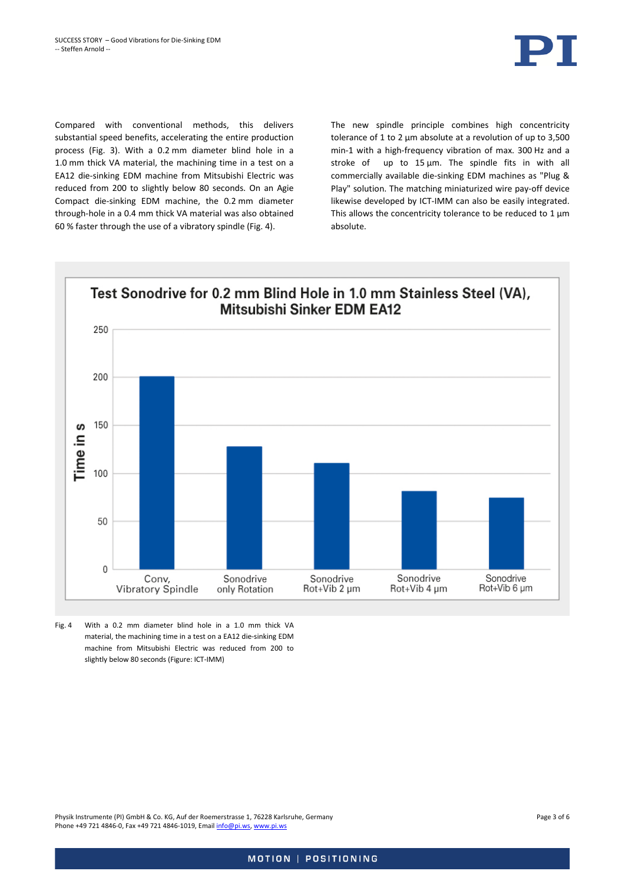

Compared with conventional methods, this delivers substantial speed benefits, accelerating the entire production process [\(Fig. 3\)](#page-1-2). With a 0.2 mm diameter blind hole in a 1.0 mm thick VA material, the machining time in a test on a EA12 die-sinking EDM machine from Mitsubishi Electric was reduced from 200 to slightly below 80 seconds. On an Agie Compact die-sinking EDM machine, the 0.2 mm diameter through-hole in a 0.4 mm thick VA material was also obtained 60 % faster through the use of a vibratory spindle [\(Fig. 4\).](#page-2-0)

The new spindle principle combines high concentricity tolerance of 1 to 2 µm absolute at a revolution of up to 3,500 min-1 with a high-frequency vibration of max. 300 Hz and a stroke of up to  $15 \mu m$ . The spindle fits in with all commercially available die-sinking EDM machines as "Plug & Play" solution. The matching miniaturized wire pay-off device likewise developed by ICT-IMM can also be easily integrated. This allows the concentricity tolerance to be reduced to  $1 \mu m$ absolute.



<span id="page-2-0"></span>Fig. 4 With a 0.2 mm diameter blind hole in a 1.0 mm thick VA material, the machining time in a test on a EA12 die-sinking EDM machine from Mitsubishi Electric was reduced from 200 to slightly below 80 seconds (Figure: ICT-IMM)

Physik Instrumente (PI) GmbH & Co. KG, Auf der Roemerstrasse 1, 76228 Karlsruhe, Germany Page 3 of 6 Phone +49 721 4846-0, Fax +49 721 4846-1019, Emai[l info@pi.ws,](mailto:info@pi.ws) [www.pi.ws](http://www.pi.ws/)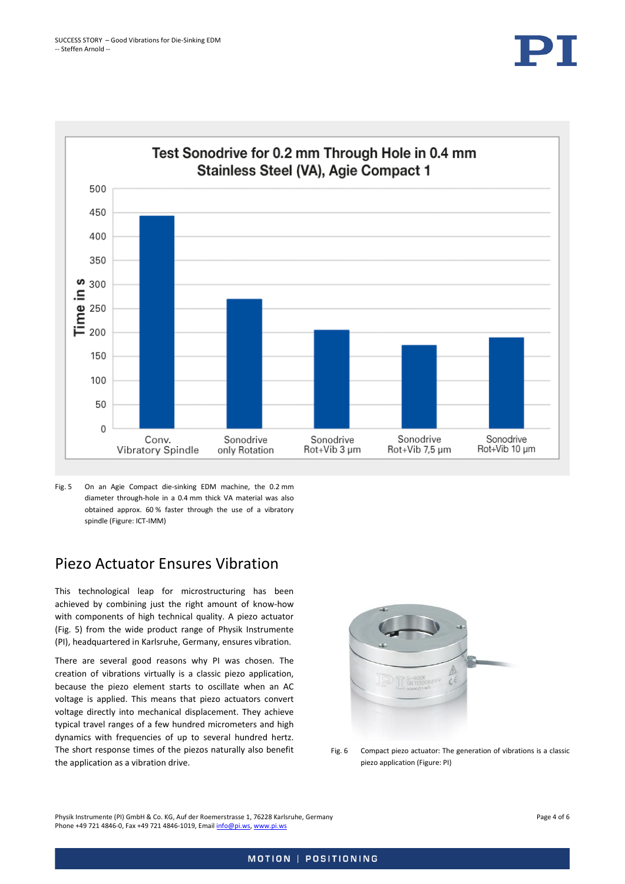

<span id="page-3-0"></span>Fig. 5 On an Agie Compact die-sinking EDM machine, the 0.2 mm diameter through-hole in a 0.4 mm thick VA material was also obtained approx. 60 % faster through the use of a vibratory spindle (Figure: ICT-IMM)

#### Piezo Actuator Ensures Vibration

This technological leap for microstructuring has been achieved by combining just the right amount of know-how with components of high technical quality. A piezo actuator [\(Fig. 5\)](#page-3-0) from the wide product range of Physik Instrumente (PI), headquartered in Karlsruhe, Germany, ensures vibration.

There are several good reasons why PI was chosen. The creation of vibrations virtually is a classic piezo application, because the piezo element starts to oscillate when an AC voltage is applied. This means that piezo actuators convert voltage directly into mechanical displacement. They achieve typical travel ranges of a few hundred micrometers and high dynamics with frequencies of up to several hundred hertz. The short response times of the piezos naturally also benefit the application as a vibration drive.



Fig. 6 Compact piezo actuator: The generation of vibrations is a classic piezo application (Figure: PI)

Physik Instrumente (PI) GmbH & Co. KG, Auf der Roemerstrasse 1, 76228 Karlsruhe, Germany Page 4 of 6 Phone +49 721 4846-0, Fax +49 721 4846-1019, Emai[l info@pi.ws,](mailto:info@pi.ws) [www.pi.ws](http://www.pi.ws/)

#### MOTION | POSITIONING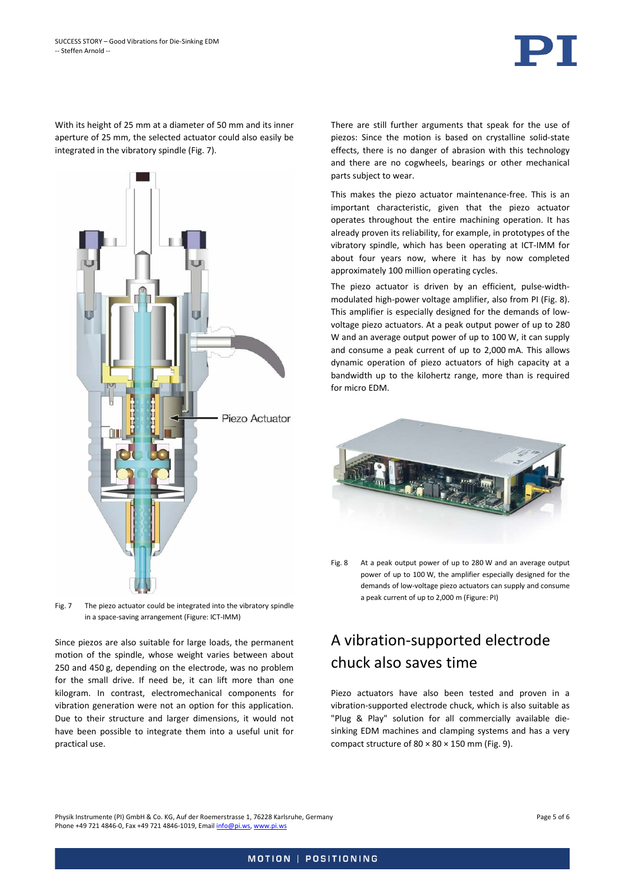

With its height of 25 mm at a diameter of 50 mm and its inner aperture of 25 mm, the selected actuator could also easily be integrated in the vibratory spindle [\(Fig. 7\)](#page-4-0).



<span id="page-4-0"></span>Fig. 7 The piezo actuator could be integrated into the vibratory spindle in a space-saving arrangement (Figure: ICT-IMM)

Since piezos are also suitable for large loads, the permanent motion of the spindle, whose weight varies between about 250 and 450 g, depending on the electrode, was no problem for the small drive. If need be, it can lift more than one kilogram. In contrast, electromechanical components for vibration generation were not an option for this application. Due to their structure and larger dimensions, it would not have been possible to integrate them into a useful unit for practical use.

There are still further arguments that speak for the use of piezos: Since the motion is based on crystalline solid-state effects, there is no danger of abrasion with this technology and there are no cogwheels, bearings or other mechanical parts subject to wear.

This makes the piezo actuator maintenance-free. This is an important characteristic, given that the piezo actuator operates throughout the entire machining operation. It has already proven its reliability, for example, in prototypes of the vibratory spindle, which has been operating at ICT-IMM for about four years now, where it has by now completed approximately 100 million operating cycles.

The piezo actuator is driven by an efficient, pulse-widthmodulated high-power voltage amplifier, also from PI [\(Fig. 8\)](#page-4-1). This amplifier is especially designed for the demands of lowvoltage piezo actuators. At a peak output power of up to 280 W and an average output power of up to 100 W, it can supply and consume a peak current of up to 2,000 mA. This allows dynamic operation of piezo actuators of high capacity at a bandwidth up to the kilohertz range, more than is required for micro EDM.



<span id="page-4-1"></span>Fig. 8 At a peak output power of up to 280 W and an average output power of up to 100 W, the amplifier especially designed for the demands of low-voltage piezo actuators can supply and consume a peak current of up to 2,000 m (Figure: PI)

## A vibration-supported electrode chuck also saves time

Piezo actuators have also been tested and proven in a vibration-supported electrode chuck, which is also suitable as "Plug & Play" solution for all commercially available diesinking EDM machines and clamping systems and has a very compact structure of  $80 \times 80 \times 150$  mm [\(Fig. 9\)](#page-5-0).

Physik Instrumente (PI) GmbH & Co. KG, Auf der Roemerstrasse 1, 76228 Karlsruhe, Germany Page 5 of 6 Phone +49 721 4846-0, Fax +49 721 4846-1019, Emai[l info@pi.ws,](mailto:info@pi.ws) [www.pi.ws](http://www.pi.ws/)